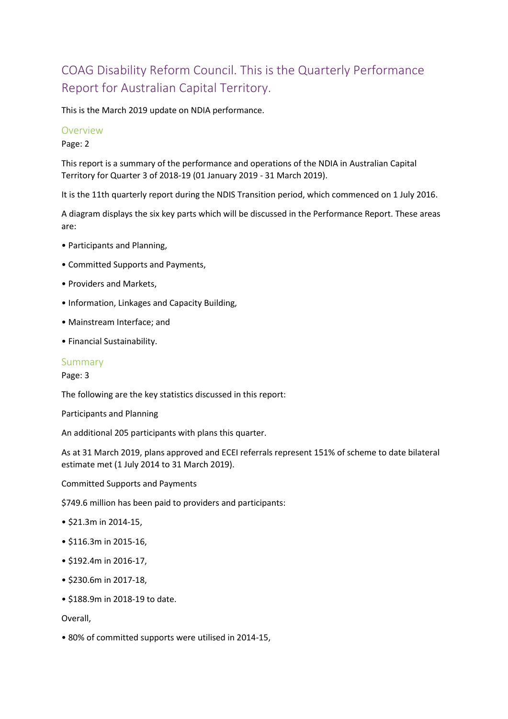## COAG Disability Reform Council. This is the Quarterly Performance Report for Australian Capital Territory.

This is the March 2019 update on NDIA performance.

### Overview

Page: 2

This report is a summary of the performance and operations of the NDIA in Australian Capital Territory for Quarter 3 of 2018-19 (01 January 2019 - 31 March 2019).

It is the 11th quarterly report during the NDIS Transition period, which commenced on 1 July 2016.

A diagram displays the six key parts which will be discussed in the Performance Report. These areas are:

- Participants and Planning,
- Committed Supports and Payments,
- Providers and Markets,
- Information, Linkages and Capacity Building,
- Mainstream Interface; and
- Financial Sustainability.

### Summary

Page: 3

The following are the key statistics discussed in this report:

Participants and Planning

An additional 205 participants with plans this quarter.

As at 31 March 2019, plans approved and ECEI referrals represent 151% of scheme to date bilateral estimate met (1 July 2014 to 31 March 2019).

Committed Supports and Payments

\$749.6 million has been paid to providers and participants:

- \$21.3m in 2014-15,
- \$116.3m in 2015-16,
- \$192.4m in 2016-17,
- \$230.6m in 2017-18,
- \$188.9m in 2018-19 to date.

Overall,

• 80% of committed supports were utilised in 2014-15,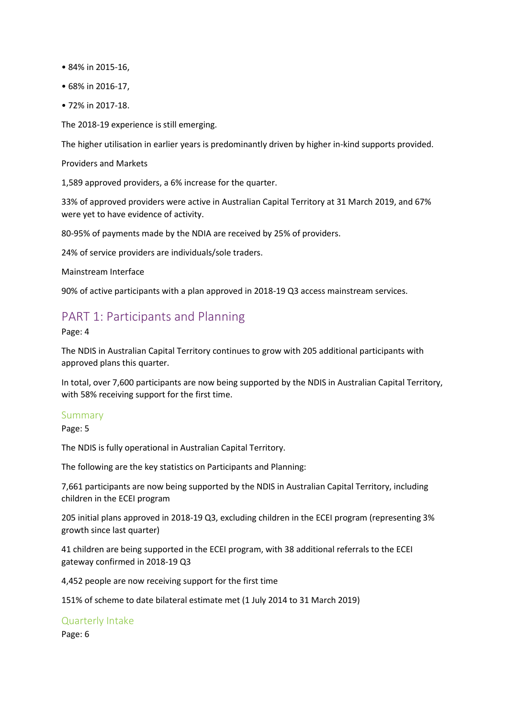- 84% in 2015-16,
- 68% in 2016-17,
- 72% in 2017-18.

The 2018-19 experience is still emerging.

The higher utilisation in earlier years is predominantly driven by higher in-kind supports provided.

Providers and Markets

1,589 approved providers, a 6% increase for the quarter.

33% of approved providers were active in Australian Capital Territory at 31 March 2019, and 67% were yet to have evidence of activity.

80-95% of payments made by the NDIA are received by 25% of providers.

24% of service providers are individuals/sole traders.

Mainstream Interface

90% of active participants with a plan approved in 2018-19 Q3 access mainstream services.

## PART 1: Participants and Planning

Page: 4

The NDIS in Australian Capital Territory continues to grow with 205 additional participants with approved plans this quarter.

In total, over 7,600 participants are now being supported by the NDIS in Australian Capital Territory, with 58% receiving support for the first time.

#### Summary

Page: 5

The NDIS is fully operational in Australian Capital Territory.

The following are the key statistics on Participants and Planning:

7,661 participants are now being supported by the NDIS in Australian Capital Territory, including children in the ECEI program

205 initial plans approved in 2018-19 Q3, excluding children in the ECEI program (representing 3% growth since last quarter)

41 children are being supported in the ECEI program, with 38 additional referrals to the ECEI gateway confirmed in 2018-19 Q3

4,452 people are now receiving support for the first time

151% of scheme to date bilateral estimate met (1 July 2014 to 31 March 2019)

## Quarterly Intake

Page: 6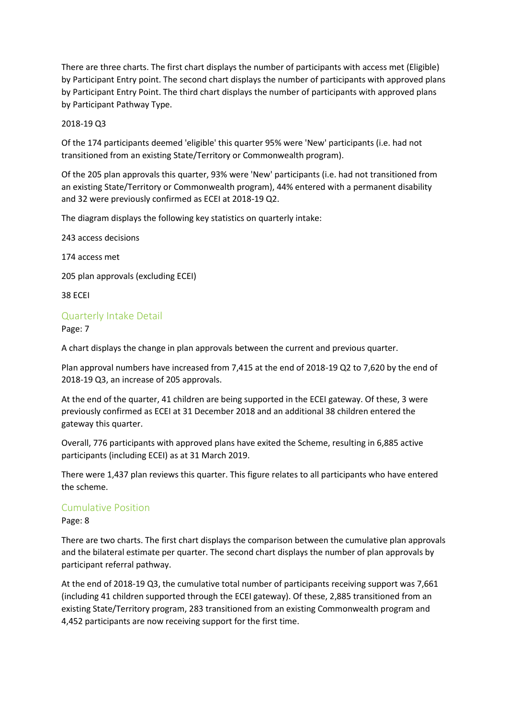There are three charts. The first chart displays the number of participants with access met (Eligible) by Participant Entry point. The second chart displays the number of participants with approved plans by Participant Entry Point. The third chart displays the number of participants with approved plans by Participant Pathway Type.

2018-19 Q3

Of the 174 participants deemed 'eligible' this quarter 95% were 'New' participants (i.e. had not transitioned from an existing State/Territory or Commonwealth program).

Of the 205 plan approvals this quarter, 93% were 'New' participants (i.e. had not transitioned from an existing State/Territory or Commonwealth program), 44% entered with a permanent disability and 32 were previously confirmed as ECEI at 2018-19 Q2.

The diagram displays the following key statistics on quarterly intake:

243 access decisions

174 access met

205 plan approvals (excluding ECEI)

38 ECEI

## Quarterly Intake Detail

Page: 7

A chart displays the change in plan approvals between the current and previous quarter.

Plan approval numbers have increased from 7,415 at the end of 2018-19 Q2 to 7,620 by the end of 2018-19 Q3, an increase of 205 approvals.

At the end of the quarter, 41 children are being supported in the ECEI gateway. Of these, 3 were previously confirmed as ECEI at 31 December 2018 and an additional 38 children entered the gateway this quarter.

Overall, 776 participants with approved plans have exited the Scheme, resulting in 6,885 active participants (including ECEI) as at 31 March 2019.

There were 1,437 plan reviews this quarter. This figure relates to all participants who have entered the scheme.

## Cumulative Position

#### Page: 8

There are two charts. The first chart displays the comparison between the cumulative plan approvals and the bilateral estimate per quarter. The second chart displays the number of plan approvals by participant referral pathway.

At the end of 2018-19 Q3, the cumulative total number of participants receiving support was 7,661 (including 41 children supported through the ECEI gateway). Of these, 2,885 transitioned from an existing State/Territory program, 283 transitioned from an existing Commonwealth program and 4,452 participants are now receiving support for the first time.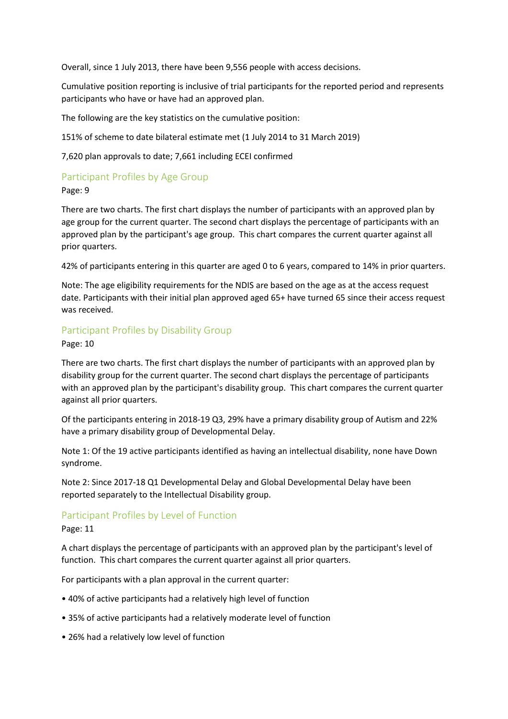Overall, since 1 July 2013, there have been 9,556 people with access decisions.

Cumulative position reporting is inclusive of trial participants for the reported period and represents participants who have or have had an approved plan.

The following are the key statistics on the cumulative position:

151% of scheme to date bilateral estimate met (1 July 2014 to 31 March 2019)

7,620 plan approvals to date; 7,661 including ECEI confirmed

# Participant Profiles by Age Group

Page: 9

There are two charts. The first chart displays the number of participants with an approved plan by age group for the current quarter. The second chart displays the percentage of participants with an approved plan by the participant's age group. This chart compares the current quarter against all prior quarters.

42% of participants entering in this quarter are aged 0 to 6 years, compared to 14% in prior quarters.

Note: The age eligibility requirements for the NDIS are based on the age as at the access request date. Participants with their initial plan approved aged 65+ have turned 65 since their access request was received.

## Participant Profiles by Disability Group

Page: 10

There are two charts. The first chart displays the number of participants with an approved plan by disability group for the current quarter. The second chart displays the percentage of participants with an approved plan by the participant's disability group. This chart compares the current quarter against all prior quarters.

Of the participants entering in 2018-19 Q3, 29% have a primary disability group of Autism and 22% have a primary disability group of Developmental Delay.

Note 1: Of the 19 active participants identified as having an intellectual disability, none have Down syndrome.

Note 2: Since 2017-18 Q1 Developmental Delay and Global Developmental Delay have been reported separately to the Intellectual Disability group.

## Participant Profiles by Level of Function

### Page: 11

A chart displays the percentage of participants with an approved plan by the participant's level of function. This chart compares the current quarter against all prior quarters.

For participants with a plan approval in the current quarter:

- 40% of active participants had a relatively high level of function
- 35% of active participants had a relatively moderate level of function
- 26% had a relatively low level of function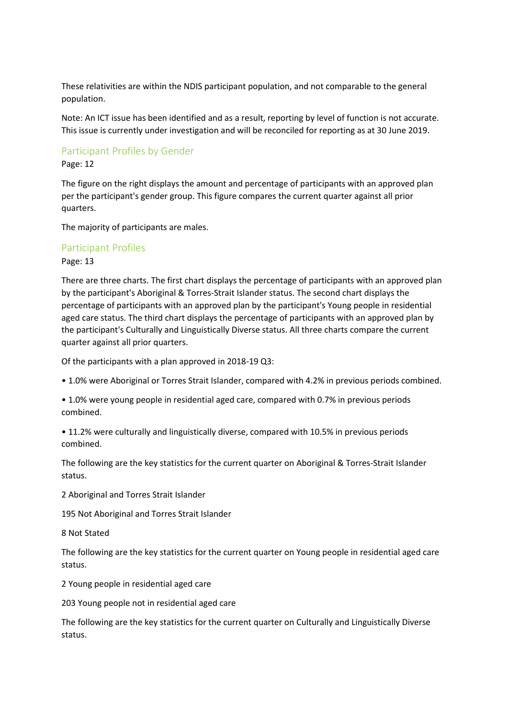These relativities are within the NDIS participant population, and not comparable to the general population.

Note: An ICT issue has been identified and as a result, reporting by level of function is not accurate. This issue is currently under investigation and will be reconciled for reporting as at 30 June 2019.

## Participant Profiles by Gender

### Page: 12

The figure on the right displays the amount and percentage of participants with an approved plan per the participant's gender group. This figure compares the current quarter against all prior quarters.

The majority of participants are males.

## Participant Profiles

Page: 13

There are three charts. The first chart displays the percentage of participants with an approved plan by the participant's Aboriginal & Torres-Strait Islander status. The second chart displays the percentage of participants with an approved plan by the participant's Young people in residential aged care status. The third chart displays the percentage of participants with an approved plan by the participant's Culturally and Linguistically Diverse status. All three charts compare the current quarter against all prior quarters.

Of the participants with a plan approved in 2018-19 Q3:

• 1.0% were Aboriginal or Torres Strait Islander, compared with 4.2% in previous periods combined.

• 1.0% were young people in residential aged care, compared with 0.7% in previous periods combined.

• 11.2% were culturally and linguistically diverse, compared with 10.5% in previous periods combined.

The following are the key statistics for the current quarter on Aboriginal & Torres-Strait Islander status.

2 Aboriginal and Torres Strait Islander

195 Not Aboriginal and Torres Strait Islander

8 Not Stated

The following are the key statistics for the current quarter on Young people in residential aged care status.

2 Young people in residential aged care

203 Young people not in residential aged care

The following are the key statistics for the current quarter on Culturally and Linguistically Diverse status.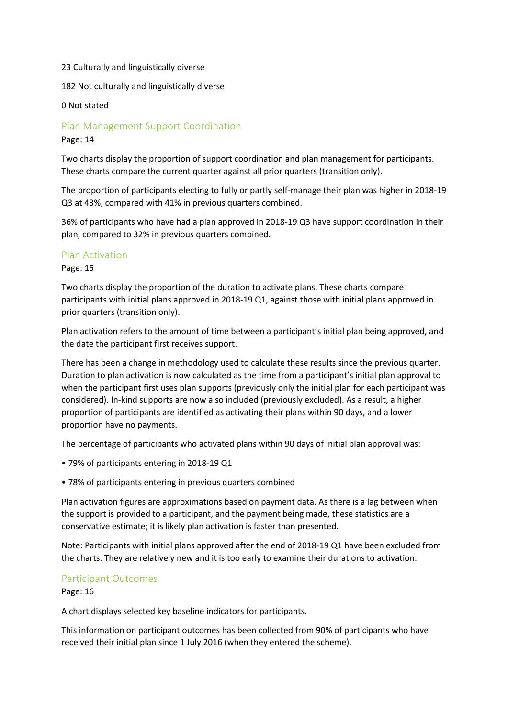#### 23 Culturally and linguistically diverse

182 Not culturally and linguistically diverse

0 Not stated

## Plan Management Support Coordination

Page: 14

Two charts display the proportion of support coordination and plan management for participants. These charts compare the current quarter against all prior quarters (transition only).

The proportion of participants electing to fully or partly self-manage their plan was higher in 2018-19 Q3 at 43%, compared with 41% in previous quarters combined.

36% of participants who have had a plan approved in 2018-19 Q3 have support coordination in their plan, compared to 32% in previous quarters combined.

## Plan Activation

#### Page: 15

Two charts display the proportion of the duration to activate plans. These charts compare participants with initial plans approved in 2018-19 Q1, against those with initial plans approved in prior quarters (transition only).

Plan activation refers to the amount of time between a participant's initial plan being approved, and the date the participant first receives support.

There has been a change in methodology used to calculate these results since the previous quarter. Duration to plan activation is now calculated as the time from a participant's initial plan approval to when the participant first uses plan supports (previously only the initial plan for each participant was considered). In-kind supports are now also included (previously excluded). As a result, a higher proportion of participants are identified as activating their plans within 90 days, and a lower proportion have no payments.

The percentage of participants who activated plans within 90 days of initial plan approval was:

- 79% of participants entering in 2018-19 Q1
- 78% of participants entering in previous quarters combined

Plan activation figures are approximations based on payment data. As there is a lag between when the support is provided to a participant, and the payment being made, these statistics are a conservative estimate; it is likely plan activation is faster than presented.

Note: Participants with initial plans approved after the end of 2018-19 Q1 have been excluded from the charts. They are relatively new and it is too early to examine their durations to activation.

## Participant Outcomes

Page: 16

A chart displays selected key baseline indicators for participants.

This information on participant outcomes has been collected from 90% of participants who have received their initial plan since 1 July 2016 (when they entered the scheme).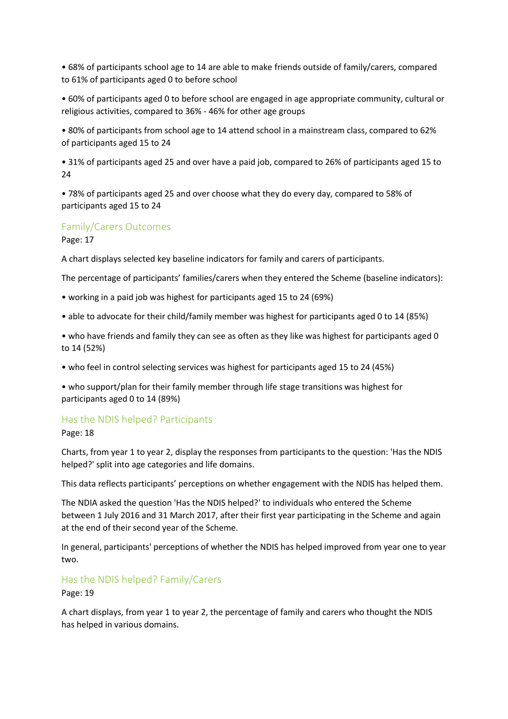• 68% of participants school age to 14 are able to make friends outside of family/carers, compared to 61% of participants aged 0 to before school

• 60% of participants aged 0 to before school are engaged in age appropriate community, cultural or religious activities, compared to 36% - 46% for other age groups

• 80% of participants from school age to 14 attend school in a mainstream class, compared to 62% of participants aged 15 to 24

• 31% of participants aged 25 and over have a paid job, compared to 26% of participants aged 15 to 24

• 78% of participants aged 25 and over choose what they do every day, compared to 58% of participants aged 15 to 24

### Family/Carers Outcomes

Page: 17

A chart displays selected key baseline indicators for family and carers of participants.

The percentage of participants' families/carers when they entered the Scheme (baseline indicators):

- working in a paid job was highest for participants aged 15 to 24 (69%)
- able to advocate for their child/family member was highest for participants aged 0 to 14 (85%)

• who have friends and family they can see as often as they like was highest for participants aged 0 to 14 (52%)

• who feel in control selecting services was highest for participants aged 15 to 24 (45%)

• who support/plan for their family member through life stage transitions was highest for participants aged 0 to 14 (89%)

#### Has the NDIS helped? Participants

Page: 18

Charts, from year 1 to year 2, display the responses from participants to the question: 'Has the NDIS helped?' split into age categories and life domains.

This data reflects participants' perceptions on whether engagement with the NDIS has helped them.

The NDIA asked the question 'Has the NDIS helped?' to individuals who entered the Scheme between 1 July 2016 and 31 March 2017, after their first year participating in the Scheme and again at the end of their second year of the Scheme.

In general, participants' perceptions of whether the NDIS has helped improved from year one to year two.

## Has the NDIS helped? Family/Carers

Page: 19

A chart displays, from year 1 to year 2, the percentage of family and carers who thought the NDIS has helped in various domains.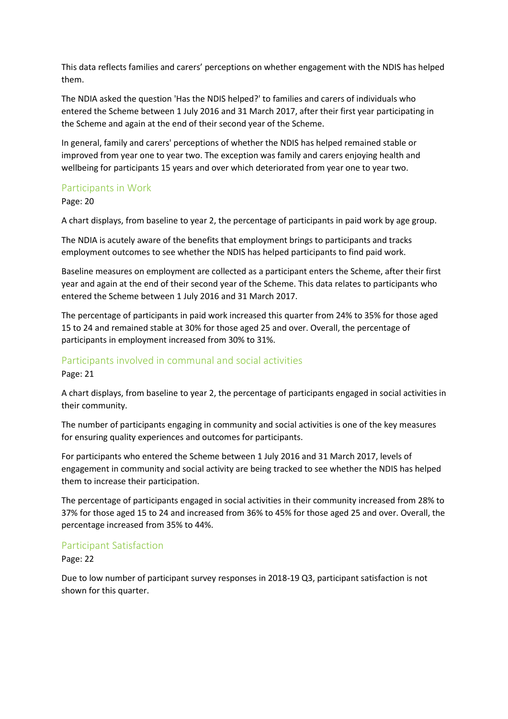This data reflects families and carers' perceptions on whether engagement with the NDIS has helped them.

The NDIA asked the question 'Has the NDIS helped?' to families and carers of individuals who entered the Scheme between 1 July 2016 and 31 March 2017, after their first year participating in the Scheme and again at the end of their second year of the Scheme.

In general, family and carers' perceptions of whether the NDIS has helped remained stable or improved from year one to year two. The exception was family and carers enjoying health and wellbeing for participants 15 years and over which deteriorated from year one to year two.

## Participants in Work

Page: 20

A chart displays, from baseline to year 2, the percentage of participants in paid work by age group.

The NDIA is acutely aware of the benefits that employment brings to participants and tracks employment outcomes to see whether the NDIS has helped participants to find paid work.

Baseline measures on employment are collected as a participant enters the Scheme, after their first year and again at the end of their second year of the Scheme. This data relates to participants who entered the Scheme between 1 July 2016 and 31 March 2017.

The percentage of participants in paid work increased this quarter from 24% to 35% for those aged 15 to 24 and remained stable at 30% for those aged 25 and over. Overall, the percentage of participants in employment increased from 30% to 31%.

## Participants involved in communal and social activities

Page: 21

A chart displays, from baseline to year 2, the percentage of participants engaged in social activities in their community.

The number of participants engaging in community and social activities is one of the key measures for ensuring quality experiences and outcomes for participants.

For participants who entered the Scheme between 1 July 2016 and 31 March 2017, levels of engagement in community and social activity are being tracked to see whether the NDIS has helped them to increase their participation.

The percentage of participants engaged in social activities in their community increased from 28% to 37% for those aged 15 to 24 and increased from 36% to 45% for those aged 25 and over. Overall, the percentage increased from 35% to 44%.

## Participant Satisfaction

Page: 22

Due to low number of participant survey responses in 2018-19 Q3, participant satisfaction is not shown for this quarter.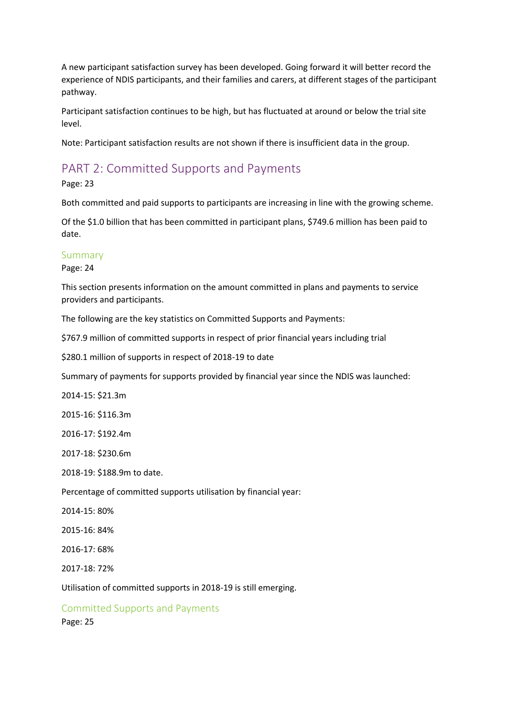A new participant satisfaction survey has been developed. Going forward it will better record the experience of NDIS participants, and their families and carers, at different stages of the participant pathway.

Participant satisfaction continues to be high, but has fluctuated at around or below the trial site level.

Note: Participant satisfaction results are not shown if there is insufficient data in the group.

## PART 2: Committed Supports and Payments

Page: 23

Both committed and paid supports to participants are increasing in line with the growing scheme.

Of the \$1.0 billion that has been committed in participant plans, \$749.6 million has been paid to date.

## Summary

Page: 24

This section presents information on the amount committed in plans and payments to service providers and participants.

The following are the key statistics on Committed Supports and Payments:

\$767.9 million of committed supports in respect of prior financial years including trial

\$280.1 million of supports in respect of 2018-19 to date

Summary of payments for supports provided by financial year since the NDIS was launched:

2014-15: \$21.3m

2015-16: \$116.3m

2016-17: \$192.4m

2017-18: \$230.6m

2018-19: \$188.9m to date.

Percentage of committed supports utilisation by financial year:

2014-15: 80%

2015-16: 84%

2016-17: 68%

2017-18: 72%

Utilisation of committed supports in 2018-19 is still emerging.

Committed Supports and Payments

Page: 25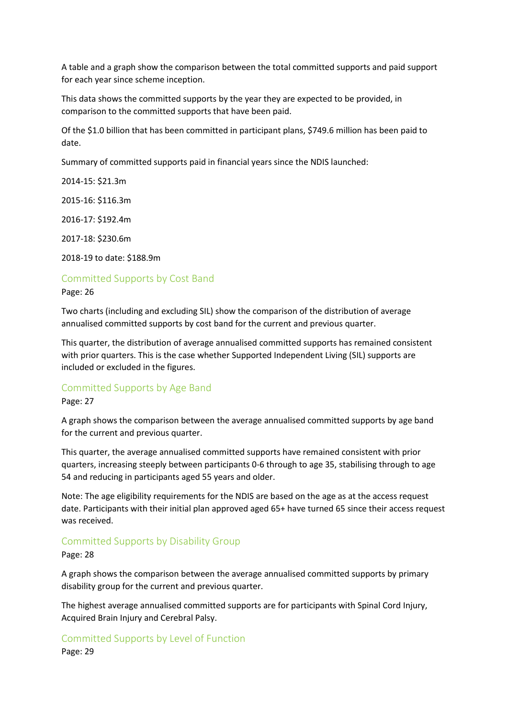A table and a graph show the comparison between the total committed supports and paid support for each year since scheme inception.

This data shows the committed supports by the year they are expected to be provided, in comparison to the committed supports that have been paid.

Of the \$1.0 billion that has been committed in participant plans, \$749.6 million has been paid to date.

Summary of committed supports paid in financial years since the NDIS launched:

2014-15: \$21.3m

2015-16: \$116.3m

2016-17: \$192.4m

2017-18: \$230.6m

2018-19 to date: \$188.9m

## Committed Supports by Cost Band

Page: 26

Two charts (including and excluding SIL) show the comparison of the distribution of average annualised committed supports by cost band for the current and previous quarter.

This quarter, the distribution of average annualised committed supports has remained consistent with prior quarters. This is the case whether Supported Independent Living (SIL) supports are included or excluded in the figures.

## Committed Supports by Age Band

Page: 27

A graph shows the comparison between the average annualised committed supports by age band for the current and previous quarter.

This quarter, the average annualised committed supports have remained consistent with prior quarters, increasing steeply between participants 0-6 through to age 35, stabilising through to age 54 and reducing in participants aged 55 years and older.

Note: The age eligibility requirements for the NDIS are based on the age as at the access request date. Participants with their initial plan approved aged 65+ have turned 65 since their access request was received.

## Committed Supports by Disability Group

#### Page: 28

A graph shows the comparison between the average annualised committed supports by primary disability group for the current and previous quarter.

The highest average annualised committed supports are for participants with Spinal Cord Injury, Acquired Brain Injury and Cerebral Palsy.

## Committed Supports by Level of Function

Page: 29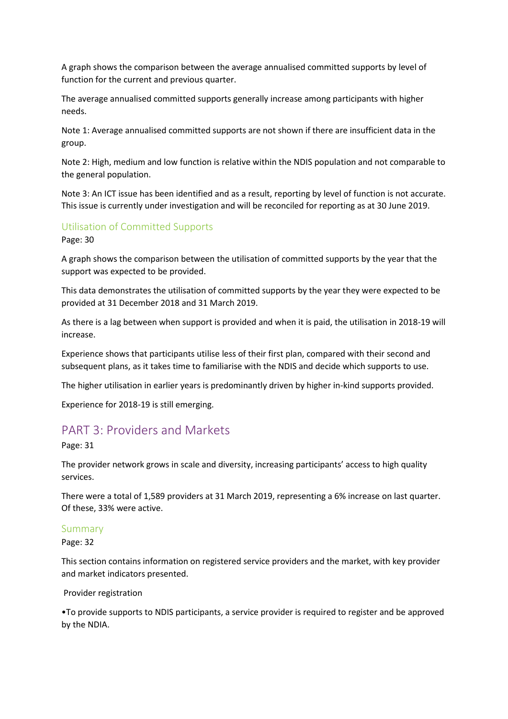A graph shows the comparison between the average annualised committed supports by level of function for the current and previous quarter.

The average annualised committed supports generally increase among participants with higher needs.

Note 1: Average annualised committed supports are not shown if there are insufficient data in the group.

Note 2: High, medium and low function is relative within the NDIS population and not comparable to the general population.

Note 3: An ICT issue has been identified and as a result, reporting by level of function is not accurate. This issue is currently under investigation and will be reconciled for reporting as at 30 June 2019.

## Utilisation of Committed Supports

Page: 30

A graph shows the comparison between the utilisation of committed supports by the year that the support was expected to be provided.

This data demonstrates the utilisation of committed supports by the year they were expected to be provided at 31 December 2018 and 31 March 2019.

As there is a lag between when support is provided and when it is paid, the utilisation in 2018-19 will increase.

Experience shows that participants utilise less of their first plan, compared with their second and subsequent plans, as it takes time to familiarise with the NDIS and decide which supports to use.

The higher utilisation in earlier years is predominantly driven by higher in-kind supports provided.

Experience for 2018-19 is still emerging.

## PART 3: Providers and Markets

Page: 31

The provider network grows in scale and diversity, increasing participants' access to high quality services.

There were a total of 1,589 providers at 31 March 2019, representing a 6% increase on last quarter. Of these, 33% were active.

#### Summary

Page: 32

This section contains information on registered service providers and the market, with key provider and market indicators presented.

### Provider registration

•To provide supports to NDIS participants, a service provider is required to register and be approved by the NDIA.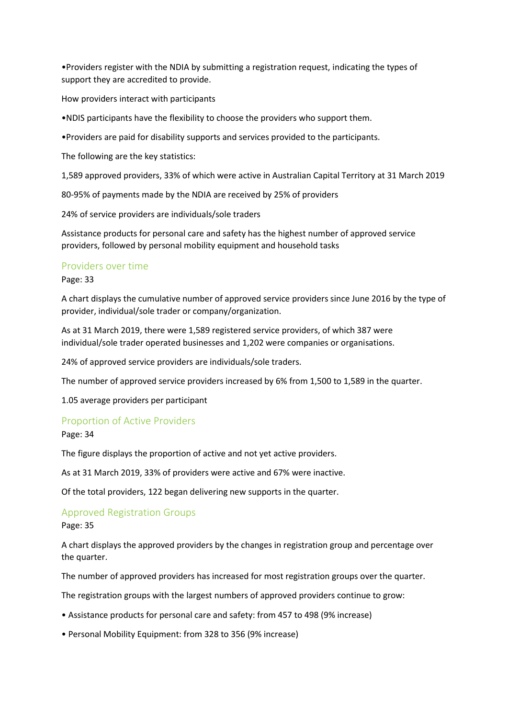•Providers register with the NDIA by submitting a registration request, indicating the types of support they are accredited to provide.

How providers interact with participants

•NDIS participants have the flexibility to choose the providers who support them.

•Providers are paid for disability supports and services provided to the participants.

The following are the key statistics:

1,589 approved providers, 33% of which were active in Australian Capital Territory at 31 March 2019

80-95% of payments made by the NDIA are received by 25% of providers

24% of service providers are individuals/sole traders

Assistance products for personal care and safety has the highest number of approved service providers, followed by personal mobility equipment and household tasks

## Providers over time

Page: 33

A chart displays the cumulative number of approved service providers since June 2016 by the type of provider, individual/sole trader or company/organization.

As at 31 March 2019, there were 1,589 registered service providers, of which 387 were individual/sole trader operated businesses and 1,202 were companies or organisations.

24% of approved service providers are individuals/sole traders.

The number of approved service providers increased by 6% from 1,500 to 1,589 in the quarter.

1.05 average providers per participant

## Proportion of Active Providers

Page: 34

The figure displays the proportion of active and not yet active providers.

As at 31 March 2019, 33% of providers were active and 67% were inactive.

Of the total providers, 122 began delivering new supports in the quarter.

## Approved Registration Groups

#### Page: 35

A chart displays the approved providers by the changes in registration group and percentage over the quarter.

The number of approved providers has increased for most registration groups over the quarter.

The registration groups with the largest numbers of approved providers continue to grow:

- Assistance products for personal care and safety: from 457 to 498 (9% increase)
- Personal Mobility Equipment: from 328 to 356 (9% increase)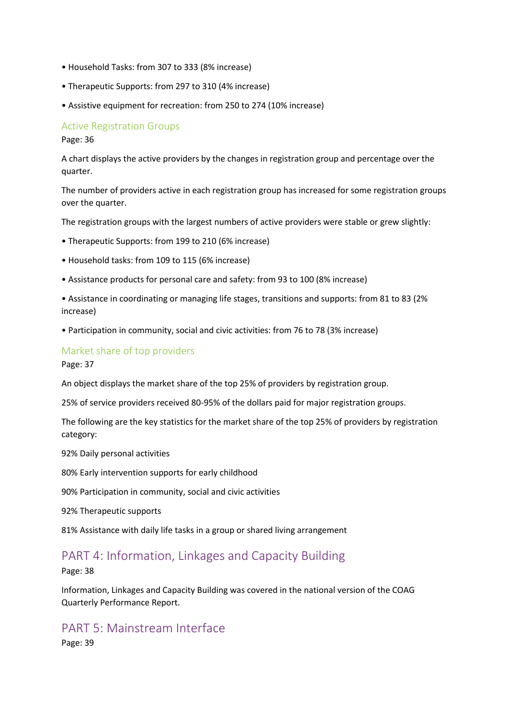- Household Tasks: from 307 to 333 (8% increase)
- Therapeutic Supports: from 297 to 310 (4% increase)
- Assistive equipment for recreation: from 250 to 274 (10% increase)

### Active Registration Groups

Page: 36

A chart displays the active providers by the changes in registration group and percentage over the quarter.

The number of providers active in each registration group has increased for some registration groups over the quarter.

The registration groups with the largest numbers of active providers were stable or grew slightly:

- Therapeutic Supports: from 199 to 210 (6% increase)
- Household tasks: from 109 to 115 (6% increase)
- Assistance products for personal care and safety: from 93 to 100 (8% increase)
- Assistance in coordinating or managing life stages, transitions and supports: from 81 to 83 (2% increase)
- Participation in community, social and civic activities: from 76 to 78 (3% increase)

## Market share of top providers

Page: 37

An object displays the market share of the top 25% of providers by registration group.

25% of service providers received 80-95% of the dollars paid for major registration groups.

The following are the key statistics for the market share of the top 25% of providers by registration category:

92% Daily personal activities

80% Early intervention supports for early childhood

90% Participation in community, social and civic activities

92% Therapeutic supports

81% Assistance with daily life tasks in a group or shared living arrangement

## PART 4: Information, Linkages and Capacity Building

Page: 38

Information, Linkages and Capacity Building was covered in the national version of the COAG Quarterly Performance Report.

## PART 5: Mainstream Interface Page: 39